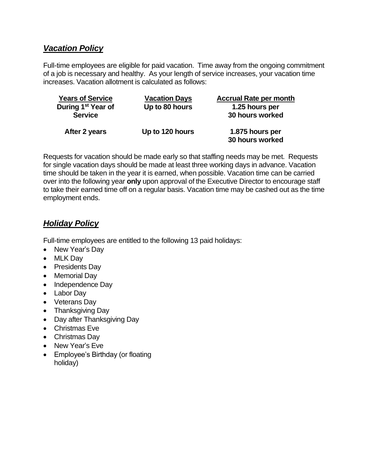## *Vacation Policy*

Full-time employees are eligible for paid vacation. Time away from the ongoing commitment of a job is necessary and healthy. As your length of service increases, your vacation time increases. Vacation allotment is calculated as follows:

| <b>Years of Service</b>        | <b>Vacation Days</b> | <b>Accrual Rate per month</b>      |
|--------------------------------|----------------------|------------------------------------|
| During 1 <sup>st</sup> Year of | Up to 80 hours       | 1.25 hours per                     |
| <b>Service</b>                 |                      | 30 hours worked                    |
| After 2 years                  | Up to 120 hours      | 1.875 hours per<br>30 hours worked |

Requests for vacation should be made early so that staffing needs may be met. Requests for single vacation days should be made at least three working days in advance. Vacation time should be taken in the year it is earned, when possible. Vacation time can be carried over into the following year **only** upon approval of the Executive Director to encourage staff to take their earned time off on a regular basis. Vacation time may be cashed out as the time employment ends.

## *Holiday Policy*

Full-time employees are entitled to the following 13 paid holidays:

- New Year's Day
- MLK Day
- Presidents Day
- Memorial Day
- Independence Day
- Labor Day
- Veterans Day
- Thanksgiving Day
- Day after Thanksgiving Day
- Christmas Eve
- Christmas Day
- New Year's Eve
- Employee's Birthday (or floating holiday)